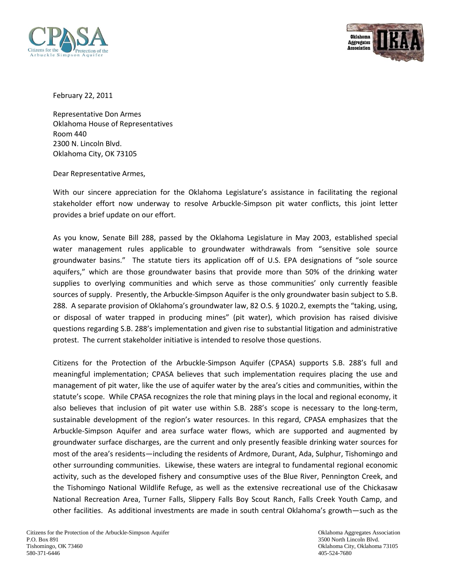



February 22, 2011

Representative Don Armes Oklahoma House of Representatives Room 440 2300 N. Lincoln Blvd. Oklahoma City, OK 73105

Dear Representative Armes,

With our sincere appreciation for the Oklahoma Legislature's assistance in facilitating the regional stakeholder effort now underway to resolve Arbuckle-Simpson pit water conflicts, this joint letter provides a brief update on our effort.

As you know, Senate Bill 288, passed by the Oklahoma Legislature in May 2003, established special water management rules applicable to groundwater withdrawals from "sensitive sole source groundwater basins." The statute tiers its application off of U.S. EPA designations of "sole source aquifers," which are those groundwater basins that provide more than 50% of the drinking water supplies to overlying communities and which serve as those communities' only currently feasible sources of supply. Presently, the Arbuckle-Simpson Aquifer is the only groundwater basin subject to S.B. 288. A separate provision of Oklahoma's groundwater law, 82 O.S. § 1020.2, exempts the "taking, using, or disposal of water trapped in producing mines" (pit water), which provision has raised divisive questions regarding S.B. 288's implementation and given rise to substantial litigation and administrative protest. The current stakeholder initiative is intended to resolve those questions.

Citizens for the Protection of the Arbuckle-Simpson Aquifer (CPASA) supports S.B. 288's full and meaningful implementation; CPASA believes that such implementation requires placing the use and management of pit water, like the use of aquifer water by the area's cities and communities, within the statute's scope. While CPASA recognizes the role that mining plays in the local and regional economy, it also believes that inclusion of pit water use within S.B. 288's scope is necessary to the long-term, sustainable development of the region's water resources. In this regard, CPASA emphasizes that the Arbuckle-Simpson Aquifer and area surface water flows, which are supported and augmented by groundwater surface discharges, are the current and only presently feasible drinking water sources for most of the area's residents—including the residents of Ardmore, Durant, Ada, Sulphur, Tishomingo and other surrounding communities. Likewise, these waters are integral to fundamental regional economic activity, such as the developed fishery and consumptive uses of the Blue River, Pennington Creek, and the Tishomingo National Wildlife Refuge, as well as the extensive recreational use of the Chickasaw National Recreation Area, Turner Falls, Slippery Falls Boy Scout Ranch, Falls Creek Youth Camp, and other facilities. As additional investments are made in south central Oklahoma's growth—such as the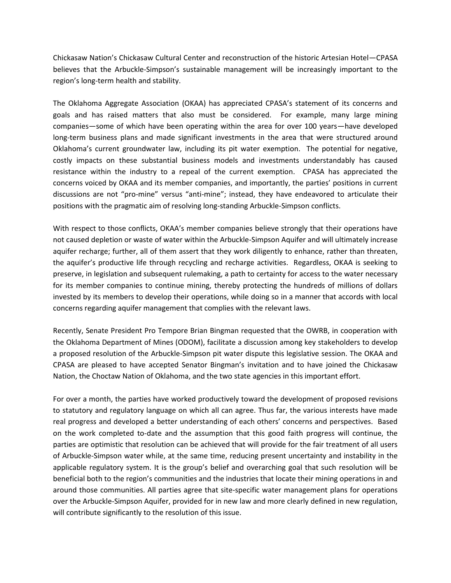Chickasaw Nation's Chickasaw Cultural Center and reconstruction of the historic Artesian Hotel—CPASA believes that the Arbuckle-Simpson's sustainable management will be increasingly important to the region's long-term health and stability.

The Oklahoma Aggregate Association (OKAA) has appreciated CPASA's statement of its concerns and goals and has raised matters that also must be considered. For example, many large mining companies—some of which have been operating within the area for over 100 years—have developed long-term business plans and made significant investments in the area that were structured around Oklahoma's current groundwater law, including its pit water exemption. The potential for negative, costly impacts on these substantial business models and investments understandably has caused resistance within the industry to a repeal of the current exemption. CPASA has appreciated the concerns voiced by OKAA and its member companies, and importantly, the parties' positions in current discussions are not "pro-mine" versus "anti-mine"; instead, they have endeavored to articulate their positions with the pragmatic aim of resolving long-standing Arbuckle-Simpson conflicts.

With respect to those conflicts, OKAA's member companies believe strongly that their operations have not caused depletion or waste of water within the Arbuckle-Simpson Aquifer and will ultimately increase aquifer recharge; further, all of them assert that they work diligently to enhance, rather than threaten, the aquifer's productive life through recycling and recharge activities. Regardless, OKAA is seeking to preserve, in legislation and subsequent rulemaking, a path to certainty for access to the water necessary for its member companies to continue mining, thereby protecting the hundreds of millions of dollars invested by its members to develop their operations, while doing so in a manner that accords with local concerns regarding aquifer management that complies with the relevant laws.

Recently, Senate President Pro Tempore Brian Bingman requested that the OWRB, in cooperation with the Oklahoma Department of Mines (ODOM), facilitate a discussion among key stakeholders to develop a proposed resolution of the Arbuckle-Simpson pit water dispute this legislative session. The OKAA and CPASA are pleased to have accepted Senator Bingman's invitation and to have joined the Chickasaw Nation, the Choctaw Nation of Oklahoma, and the two state agencies in this important effort.

For over a month, the parties have worked productively toward the development of proposed revisions to statutory and regulatory language on which all can agree. Thus far, the various interests have made real progress and developed a better understanding of each others' concerns and perspectives. Based on the work completed to-date and the assumption that this good faith progress will continue, the parties are optimistic that resolution can be achieved that will provide for the fair treatment of all users of Arbuckle-Simpson water while, at the same time, reducing present uncertainty and instability in the applicable regulatory system. It is the group's belief and overarching goal that such resolution will be beneficial both to the region's communities and the industries that locate their mining operations in and around those communities. All parties agree that site-specific water management plans for operations over the Arbuckle-Simpson Aquifer, provided for in new law and more clearly defined in new regulation, will contribute significantly to the resolution of this issue.